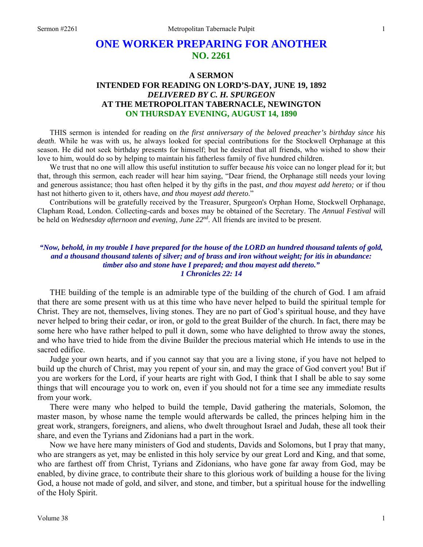# **ONE WORKER PREPARING FOR ANOTHER NO. 2261**

# **A SERMON INTENDED FOR READING ON LORD'S-DAY, JUNE 19, 1892**  *DELIVERED BY C. H. SPURGEON*  **AT THE METROPOLITAN TABERNACLE, NEWINGTON ON THURSDAY EVENING, AUGUST 14, 1890**

THIS sermon is intended for reading on *the first anniversary of the beloved preacher's birthday since his death*. While he was with us, he always looked for special contributions for the Stockwell Orphanage at this season. He did not seek birthday presents for himself; but he desired that all friends, who wished to show their love to him, would do so by helping to maintain his fatherless family of five hundred children.

We trust that no one will allow this useful institution to suffer because *his* voice can no longer plead for it; but that, through this sermon, each reader will hear him saying, "Dear friend, the Orphanage still needs your loving and generous assistance; thou hast often helped it by thy gifts in the past, *and thou mayest add hereto;* or if thou hast not hitherto given to it, others have, *and thou mayest add thereto*."

Contributions will be gratefully received by the Treasurer, Spurgeon's Orphan Home, Stockwell Orphanage, Clapham Road, London. Collecting-cards and boxes may be obtained of the Secretary. The *Annual Festival* will be held on *Wednesday afternoon and evening, June 22nd*. All friends are invited to be present.

#### *"Now, behold, in my trouble I have prepared for the house of the LORD an hundred thousand talents of gold, and a thousand thousand talents of silver; and of brass and iron without weight; for itis in abundance: timber also and stone have I prepared; and thou mayest add thereto." 1 Chronicles 22: 14*

THE building of the temple is an admirable type of the building of the church of God. I am afraid that there are some present with us at this time who have never helped to build the spiritual temple for Christ. They are not, themselves, living stones. They are no part of God's spiritual house, and they have never helped to bring their cedar, or iron, or gold to the great Builder of the church. In fact, there may be some here who have rather helped to pull it down, some who have delighted to throw away the stones, and who have tried to hide from the divine Builder the precious material which He intends to use in the sacred edifice.

Judge your own hearts, and if you cannot say that you are a living stone, if you have not helped to build up the church of Christ, may you repent of your sin, and may the grace of God convert you! But if you are workers for the Lord, if your hearts are right with God, I think that I shall be able to say some things that will encourage you to work on, even if you should not for a time see any immediate results from your work.

There were many who helped to build the temple, David gathering the materials, Solomon, the master mason, by whose name the temple would afterwards be called, the princes helping him in the great work, strangers, foreigners, and aliens, who dwelt throughout Israel and Judah, these all took their share, and even the Tyrians and Zidonians had a part in the work.

Now we have here many ministers of God and students, Davids and Solomons, but I pray that many, who are strangers as yet, may be enlisted in this holy service by our great Lord and King, and that some, who are farthest off from Christ, Tyrians and Zidonians, who have gone far away from God, may be enabled, by divine grace, to contribute their share to this glorious work of building a house for the living God, a house not made of gold, and silver, and stone, and timber, but a spiritual house for the indwelling of the Holy Spirit.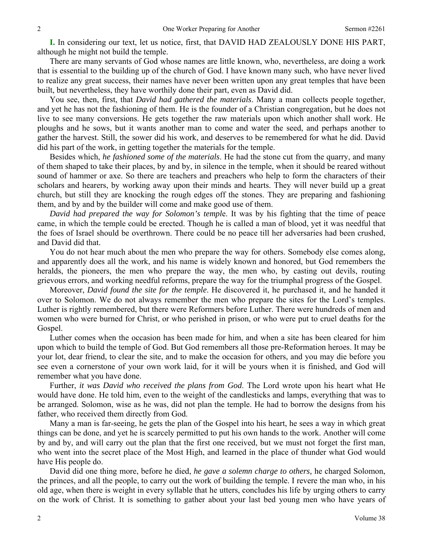**I.** In considering our text, let us notice, first, that DAVID HAD ZEALOUSLY DONE HIS PART, although he might not build the temple.

There are many servants of God whose names are little known, who, nevertheless, are doing a work that is essential to the building up of the church of God. I have known many such, who have never lived to realize any great success, their names have never been written upon any great temples that have been built, but nevertheless, they have worthily done their part, even as David did.

You see, then, first, that *David had gathered the materials*. Many a man collects people together, and yet he has not the fashioning of them. He is the founder of a Christian congregation, but he does not live to see many conversions. He gets together the raw materials upon which another shall work. He ploughs and he sows, but it wants another man to come and water the seed, and perhaps another to gather the harvest. Still, the sower did his work, and deserves to be remembered for what he did. David did his part of the work, in getting together the materials for the temple.

Besides which, *he fashioned some of the materials*. He had the stone cut from the quarry, and many of them shaped to take their places, by and by, in silence in the temple, when it should be reared without sound of hammer or axe. So there are teachers and preachers who help to form the characters of their scholars and hearers, by working away upon their minds and hearts. They will never build up a great church, but still they are knocking the rough edges off the stones. They are preparing and fashioning them, and by and by the builder will come and make good use of them.

*David had prepared the way for Solomon's templ*e. It was by his fighting that the time of peace came, in which the temple could be erected. Though he is called a man of blood, yet it was needful that the foes of Israel should be overthrown. There could be no peace till her adversaries had been crushed, and David did that.

You do not hear much about the men who prepare the way for others. Somebody else comes along, and apparently does all the work, and his name is widely known and honored, but God remembers the heralds, the pioneers, the men who prepare the way, the men who, by casting out devils, routing grievous errors, and working needful reforms, prepare the way for the triumphal progress of the Gospel.

Moreover, *David found the site for the temple*. He discovered it, he purchased it, and he handed it over to Solomon. We do not always remember the men who prepare the sites for the Lord's temples. Luther is rightly remembered, but there were Reformers before Luther. There were hundreds of men and women who were burned for Christ, or who perished in prison, or who were put to cruel deaths for the Gospel.

Luther comes when the occasion has been made for him, and when a site has been cleared for him upon which to build the temple of God. But God remembers all those pre-Reformation heroes. It may be your lot, dear friend, to clear the site, and to make the occasion for others, and you may die before you see even a cornerstone of your own work laid, for it will be yours when it is finished, and God will remember what you have done.

Further, *it was David who received the plans from God*. The Lord wrote upon his heart what He would have done. He told him, even to the weight of the candlesticks and lamps, everything that was to be arranged. Solomon, wise as he was, did not plan the temple. He had to borrow the designs from his father, who received them directly from God.

Many a man is far-seeing, he gets the plan of the Gospel into his heart, he sees a way in which great things can be done, and yet he is scarcely permitted to put his own hands to the work. Another will come by and by, and will carry out the plan that the first one received, but we must not forget the first man, who went into the secret place of the Most High, and learned in the place of thunder what God would have His people do.

David did one thing more, before he died, *he gave a solemn charge to others,* he charged Solomon, the princes, and all the people, to carry out the work of building the temple. I revere the man who, in his old age, when there is weight in every syllable that he utters, concludes his life by urging others to carry on the work of Christ. It is something to gather about your last bed young men who have years of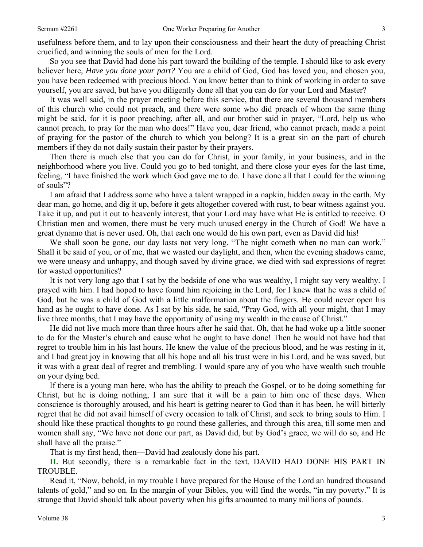So you see that David had done his part toward the building of the temple. I should like to ask every believer here, *Have you done your part?* You are a child of God, God has loved you, and chosen you, you have been redeemed with precious blood. You know better than to think of working in order to save yourself, you are saved, but have you diligently done all that you can do for your Lord and Master?

It was well said, in the prayer meeting before this service, that there are several thousand members of this church who could not preach, and there were some who did preach of whom the same thing might be said, for it is poor preaching, after all, and our brother said in prayer, "Lord, help us who cannot preach, to pray for the man who does!" Have you, dear friend, who cannot preach, made a point of praying for the pastor of the church to which you belong? It is a great sin on the part of church members if they do not daily sustain their pastor by their prayers.

Then there is much else that you can do for Christ, in your family, in your business, and in the neighborhood where you live. Could you go to bed tonight, and there close your eyes for the last time, feeling, "I have finished the work which God gave me to do. I have done all that I could for the winning of souls"?

I am afraid that I address some who have a talent wrapped in a napkin, hidden away in the earth. My dear man, go home, and dig it up, before it gets altogether covered with rust, to bear witness against you. Take it up, and put it out to heavenly interest, that your Lord may have what He is entitled to receive. O Christian men and women, there must be very much unused energy in the Church of God! We have a great dynamo that is never used. Oh, that each one would do his own part, even as David did his!

We shall soon be gone, our day lasts not very long. "The night cometh when no man can work." Shall it be said of you, or of me, that we wasted our daylight, and then, when the evening shadows came, we were uneasy and unhappy, and though saved by divine grace, we died with sad expressions of regret for wasted opportunities?

It is not very long ago that I sat by the bedside of one who was wealthy, I might say very wealthy. I prayed with him. I had hoped to have found him rejoicing in the Lord, for I knew that he was a child of God, but he was a child of God with a little malformation about the fingers. He could never open his hand as he ought to have done. As I sat by his side, he said, "Pray God, with all your might, that I may live three months, that I may have the opportunity of using my wealth in the cause of Christ."

He did not live much more than three hours after he said that. Oh, that he had woke up a little sooner to do for the Master's church and cause what he ought to have done! Then he would not have had that regret to trouble him in his last hours. He knew the value of the precious blood, and he was resting in it, and I had great joy in knowing that all his hope and all his trust were in his Lord, and he was saved, but it was with a great deal of regret and trembling. I would spare any of you who have wealth such trouble on your dying bed.

If there is a young man here, who has the ability to preach the Gospel, or to be doing something for Christ, but he is doing nothing, I am sure that it will be a pain to him one of these days. When conscience is thoroughly aroused, and his heart is getting nearer to God than it has been, he will bitterly regret that he did not avail himself of every occasion to talk of Christ, and seek to bring souls to Him. I should like these practical thoughts to go round these galleries, and through this area, till some men and women shall say, "We have not done our part, as David did, but by God's grace, we will do so, and He shall have all the praise."

That is my first head, then—David had zealously done his part.

**II.** But secondly, there is a remarkable fact in the text, DAVID HAD DONE HIS PART IN TROUBLE.

Read it, "Now, behold, in my trouble I have prepared for the House of the Lord an hundred thousand talents of gold," and so on. In the margin of your Bibles, you will find the words, "in my poverty." It is strange that David should talk about poverty when his gifts amounted to many millions of pounds.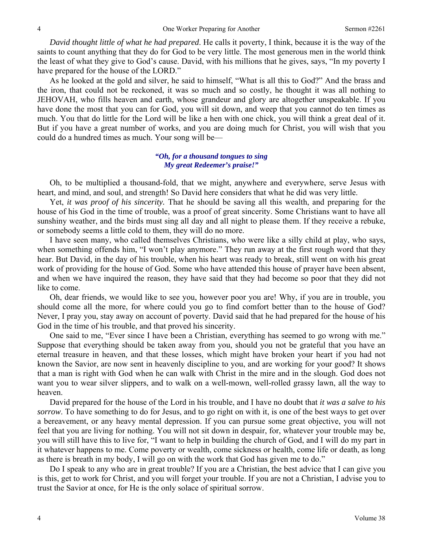*David thought little of what he had prepared*. He calls it poverty, I think, because it is the way of the saints to count anything that they do for God to be very little. The most generous men in the world think the least of what they give to God's cause. David, with his millions that he gives, says, "In my poverty I have prepared for the house of the LORD."

As he looked at the gold and silver, he said to himself, "What is all this to God?" And the brass and the iron, that could not be reckoned, it was so much and so costly, he thought it was all nothing to JEHOVAH, who fills heaven and earth, whose grandeur and glory are altogether unspeakable. If you have done the most that you can for God, you will sit down, and weep that you cannot do ten times as much. You that do little for the Lord will be like a hen with one chick, you will think a great deal of it. But if you have a great number of works, and you are doing much for Christ, you will wish that you could do a hundred times as much. Your song will be—

### *"Oh, for a thousand tongues to sing My great Redeemer's praise!"*

Oh, to be multiplied a thousand-fold, that we might, anywhere and everywhere, serve Jesus with heart, and mind, and soul, and strength! So David here considers that what he did was very little.

Yet, *it was proof of his sincerity.* That he should be saving all this wealth, and preparing for the house of his God in the time of trouble, was a proof of great sincerity. Some Christians want to have all sunshiny weather, and the birds must sing all day and all night to please them. If they receive a rebuke, or somebody seems a little cold to them, they will do no more.

I have seen many, who called themselves Christians, who were like a silly child at play, who says, when something offends him, "I won't play anymore." They run away at the first rough word that they hear. But David, in the day of his trouble, when his heart was ready to break, still went on with his great work of providing for the house of God. Some who have attended this house of prayer have been absent, and when we have inquired the reason, they have said that they had become so poor that they did not like to come.

Oh, dear friends, we would like to see you, however poor you are! Why, if you are in trouble, you should come all the more, for where could you go to find comfort better than to the house of God? Never, I pray you, stay away on account of poverty. David said that he had prepared for the house of his God in the time of his trouble, and that proved his sincerity.

One said to me, "Ever since I have been a Christian, everything has seemed to go wrong with me." Suppose that everything should be taken away from you, should you not be grateful that you have an eternal treasure in heaven, and that these losses, which might have broken your heart if you had not known the Savior, are now sent in heavenly discipline to you, and are working for your good? It shows that a man is right with God when he can walk with Christ in the mire and in the slough. God does not want you to wear silver slippers, and to walk on a well-mown, well-rolled grassy lawn, all the way to heaven.

David prepared for the house of the Lord in his trouble, and I have no doubt that *it was a salve to his sorrow*. To have something to do for Jesus, and to go right on with it, is one of the best ways to get over a bereavement, or any heavy mental depression. If you can pursue some great objective, you will not feel that you are living for nothing. You will not sit down in despair, for, whatever your trouble may be, you will still have this to live for, "I want to help in building the church of God, and I will do my part in it whatever happens to me. Come poverty or wealth, come sickness or health, come life or death, as long as there is breath in my body, I will go on with the work that God has given me to do."

Do I speak to any who are in great trouble? If you are a Christian, the best advice that I can give you is this, get to work for Christ, and you will forget your trouble. If you are not a Christian, I advise you to trust the Savior at once, for He is the only solace of spiritual sorrow.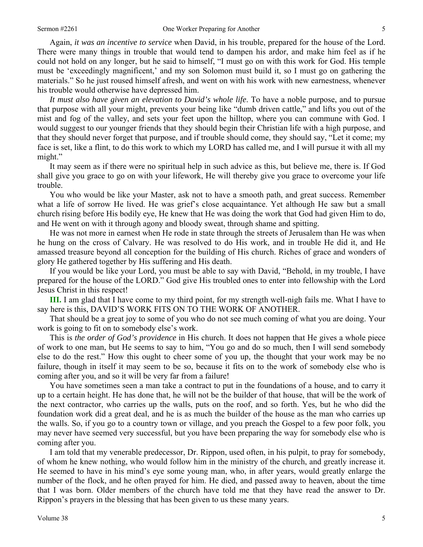Again, *it was an incentive to service* when David, in his trouble, prepared for the house of the Lord. There were many things in trouble that would tend to dampen his ardor, and make him feel as if he could not hold on any longer, but he said to himself, "I must go on with this work for God. His temple must be 'exceedingly magnificent,' and my son Solomon must build it, so I must go on gathering the materials." So he just roused himself afresh, and went on with his work with new earnestness, whenever his trouble would otherwise have depressed him.

*It must also have given an elevation to David's whole life*. To have a noble purpose, and to pursue that purpose with all your might, prevents your being like "dumb driven cattle," and lifts you out of the mist and fog of the valley, and sets your feet upon the hilltop, where you can commune with God. I would suggest to our younger friends that they should begin their Christian life with a high purpose, and that they should never forget that purpose, and if trouble should come, they should say, "Let it come; my face is set, like a flint, to do this work to which my LORD has called me, and I will pursue it with all my might."

It may seem as if there were no spiritual help in such advice as this, but believe me, there is. If God shall give you grace to go on with your lifework, He will thereby give you grace to overcome your life trouble.

You who would be like your Master, ask not to have a smooth path, and great success. Remember what a life of sorrow He lived. He was grief's close acquaintance. Yet although He saw but a small church rising before His bodily eye, He knew that He was doing the work that God had given Him to do, and He went on with it through agony and bloody sweat, through shame and spitting.

He was not more in earnest when He rode in state through the streets of Jerusalem than He was when he hung on the cross of Calvary. He was resolved to do His work, and in trouble He did it, and He amassed treasure beyond all conception for the building of His church. Riches of grace and wonders of glory He gathered together by His suffering and His death.

If you would be like your Lord, you must be able to say with David, "Behold, in my trouble, I have prepared for the house of the LORD." God give His troubled ones to enter into fellowship with the Lord Jesus Christ in this respect!

**III.** I am glad that I have come to my third point, for my strength well-nigh fails me. What I have to say here is this, DAVID'S WORK FITS ON TO THE WORK OF ANOTHER.

That should be a great joy to some of you who do not see much coming of what you are doing. Your work is going to fit on to somebody else's work.

This is *the order of God's providence* in His church. It does not happen that He gives a whole piece of work to one man, but He seems to say to him, "You go and do so much, then I will send somebody else to do the rest." How this ought to cheer some of you up, the thought that your work may be no failure, though in itself it may seem to be so, because it fits on to the work of somebody else who is coming after you, and so it will be very far from a failure!

You have sometimes seen a man take a contract to put in the foundations of a house, and to carry it up to a certain height. He has done that, he will not be the builder of that house, that will be the work of the next contractor, who carries up the walls, puts on the roof, and so forth. Yes, but he who did the foundation work did a great deal, and he is as much the builder of the house as the man who carries up the walls. So, if you go to a country town or village, and you preach the Gospel to a few poor folk, you may never have seemed very successful, but you have been preparing the way for somebody else who is coming after you.

I am told that my venerable predecessor, Dr. Rippon, used often, in his pulpit, to pray for somebody, of whom he knew nothing, who would follow him in the ministry of the church, and greatly increase it. He seemed to have in his mind's eye some young man, who, in after years, would greatly enlarge the number of the flock, and he often prayed for him. He died, and passed away to heaven, about the time that I was born. Older members of the church have told me that they have read the answer to Dr. Rippon's prayers in the blessing that has been given to us these many years.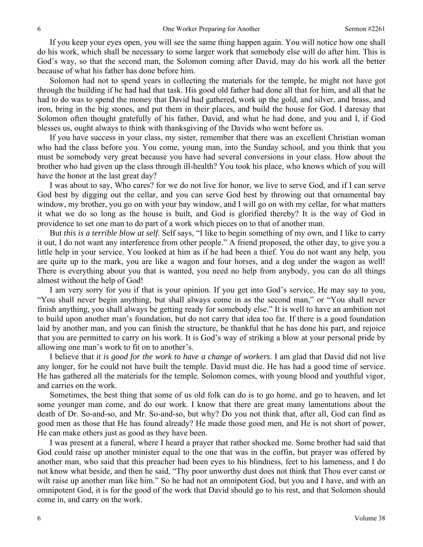If you keep your eyes open, you will see the same thing happen again. You will notice how one shall do his work, which shall be necessary to some larger work that somebody else will do after him. This is God's way, so that the second man, the Solomon coming after David, may do his work all the better because of what his father has done before him.

Solomon had not to spend years in collecting the materials for the temple, he might not have got through the building if he had had that task. His good old father had done all that for him, and all that he had to do was to spend the money that David had gathered, work up the gold, and silver, and brass, and iron, bring in the big stones, and put them in their places, and build the house for God. I daresay that Solomon often thought gratefully of his father, David, and what he had done, and you and I, if God blesses us, ought always to think with thanksgiving of the Davids who went before us.

If you have success in your class, my sister, remember that there was an excellent Christian woman who had the class before you. You come, young man, into the Sunday school, and you think that you must be somebody very great because you have had several conversions in your class. How about the brother who had given up the class through ill-health? You took his place, who knows which of you will have the honor at the last great day?

I was about to say, Who cares? for we do not live for honor, we live to serve God, and if I can serve God best by digging out the cellar, and you can serve God best by throwing out that ornamental bay window, my brother, you go on with your bay window, and I will go on with my cellar, for what matters it what we do so long as the house is built, and God is glorified thereby? It is the way of God in providence to set one man to do part of a work which pieces on to that of another man.

But *this is a terrible blow at self*. Self says, "I like to begin something of my own, and I like to carry it out, I do not want any interference from other people." A friend proposed, the other day, to give you a little help in your service. You looked at him as if he had been a thief. You do not want any help, you are quite up to the mark, you are like a wagon and four horses, and a dog under the wagon as well! There is everything about you that is wanted, you need no help from anybody, you can do all things almost without the help of God!

I am very sorry for you if that is your opinion. If you get into God's service, He may say to you, "You shall never begin anything, but shall always come in as the second man," or "You shall never finish anything, you shall always be getting ready for somebody else." It is well to have an ambition not to build upon another man's foundation, but do not carry that idea too far. If there is a good foundation laid by another man, and you can finish the structure, be thankful that he has done his part, and rejoice that you are permitted to carry on his work. It is God's way of striking a blow at your personal pride by allowing one man's work to fit on to another's.

I believe that *it is good for the work to have a change of workers*. I am glad that David did not live any longer, for he could not have built the temple. David must die. He has had a good time of service. He has gathered all the materials for the temple. Solomon comes, with young blood and youthful vigor, and carries on the work.

Sometimes, the best thing that some of us old folk can do is to go home, and go to heaven, and let some younger man come, and do our work. I know that there are great many lamentations about the death of Dr. So-and-so, and Mr. So-and-so, but why? Do you not think that, after all, God can find as good men as those that He has found already? He made those good men, and He is not short of power, He can make others just as good as they have been.

I was present at a funeral, where I heard a prayer that rather shocked me. Some brother had said that God could raise up another minister equal to the one that was in the coffin, but prayer was offered by another man, who said that this preacher had been eyes to his blindness, feet to his lameness, and I do not know what beside, and then he said, "Thy poor unworthy dust does not think that Thou ever canst or wilt raise up another man like him." So he had not an omnipotent God, but you and I have, and with an omnipotent God, it is for the good of the work that David should go to his rest, and that Solomon should come in, and carry on the work.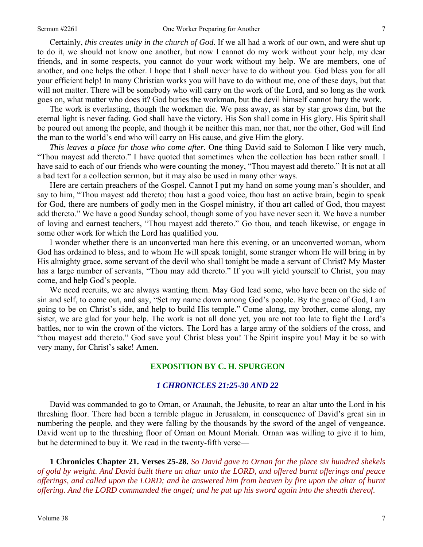Certainly, *this creates unity in the church of God*. If we all had a work of our own, and were shut up to do it, we should not know one another, but now I cannot do my work without your help, my dear friends, and in some respects, you cannot do your work without my help. We are members, one of another, and one helps the other. I hope that I shall never have to do without you. God bless you for all your efficient help! In many Christian works you will have to do without me, one of these days, but that will not matter. There will be somebody who will carry on the work of the Lord, and so long as the work goes on, what matter who does it? God buries the workman, but the devil himself cannot bury the work.

The work is everlasting, though the workmen die. We pass away, as star by star grows dim, but the eternal light is never fading. God shall have the victory. His Son shall come in His glory. His Spirit shall be poured out among the people, and though it be neither this man, nor that, nor the other, God will find the man to the world's end who will carry on His cause, and give Him the glory.

*This leaves a place for those who come after*. One thing David said to Solomon I like very much, "Thou mayest add thereto." I have quoted that sometimes when the collection has been rather small. I have said to each of our friends who were counting the money, "Thou mayest add thereto." It is not at all a bad text for a collection sermon, but it may also be used in many other ways.

Here are certain preachers of the Gospel. Cannot I put my hand on some young man's shoulder, and say to him, "Thou mayest add thereto; thou hast a good voice, thou hast an active brain, begin to speak for God, there are numbers of godly men in the Gospel ministry, if thou art called of God, thou mayest add thereto." We have a good Sunday school, though some of you have never seen it. We have a number of loving and earnest teachers, "Thou mayest add thereto." Go thou, and teach likewise, or engage in some other work for which the Lord has qualified you.

I wonder whether there is an unconverted man here this evening, or an unconverted woman, whom God has ordained to bless, and to whom He will speak tonight, some stranger whom He will bring in by His almighty grace, some servant of the devil who shall tonight be made a servant of Christ? My Master has a large number of servants, "Thou may add thereto." If you will yield yourself to Christ, you may come, and help God's people.

We need recruits, we are always wanting them. May God lead some, who have been on the side of sin and self, to come out, and say, "Set my name down among God's people. By the grace of God, I am going to be on Christ's side, and help to build His temple." Come along, my brother, come along, my sister, we are glad for your help. The work is not all done yet, you are not too late to fight the Lord's battles, nor to win the crown of the victors. The Lord has a large army of the soldiers of the cross, and "thou mayest add thereto." God save you! Christ bless you! The Spirit inspire you! May it be so with very many, for Christ's sake! Amen.

#### **EXPOSITION BY C. H. SPURGEON**

#### *1 CHRONICLES 21:25-30 AND 22*

David was commanded to go to Ornan, or Araunah, the Jebusite, to rear an altar unto the Lord in his threshing floor. There had been a terrible plague in Jerusalem, in consequence of David's great sin in numbering the people, and they were falling by the thousands by the sword of the angel of vengeance. David went up to the threshing floor of Ornan on Mount Moriah. Ornan was willing to give it to him, but he determined to buy it. We read in the twenty-fifth verse—

**1 Chronicles Chapter 21. Verses 25-28.** *So David gave to Ornan for the place six hundred shekels of gold by weight. And David built there an altar unto the LORD, and offered burnt offerings and peace offerings, and called upon the LORD; and he answered him from heaven by fire upon the altar of burnt offering. And the LORD commanded the angel; and he put up his sword again into the sheath thereof.*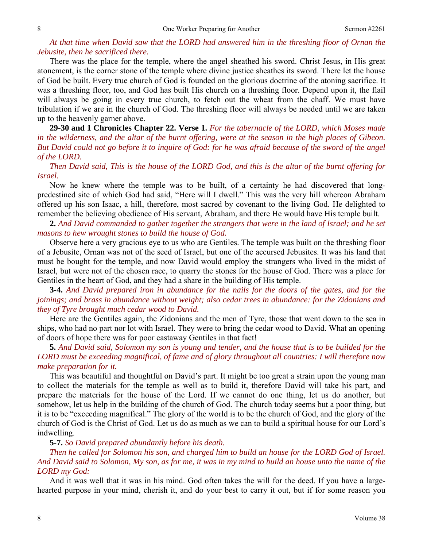## *At that time when David saw that the LORD had answered him in the threshing floor of Ornan the Jebusite, then he sacrificed there.*

There was the place for the temple, where the angel sheathed his sword. Christ Jesus, in His great atonement, is the corner stone of the temple where divine justice sheathes its sword. There let the house of God be built. Every true church of God is founded on the glorious doctrine of the atoning sacrifice. It was a threshing floor, too, and God has built His church on a threshing floor. Depend upon it, the flail will always be going in every true church, to fetch out the wheat from the chaff. We must have tribulation if we are in the church of God. The threshing floor will always be needed until we are taken up to the heavenly garner above.

**29-30 and 1 Chronicles Chapter 22. Verse 1.** *For the tabernacle of the LORD, which Moses made in the wilderness, and the altar of the burnt offering, were at the season in the high places of Gibeon. But David could not go before it to inquire of God: for he was afraid because of the sword of the angel of the LORD.* 

*Then David said, This is the house of the LORD God, and this is the altar of the burnt offering for Israel.*

Now he knew where the temple was to be built, of a certainty he had discovered that longpredestined site of which God had said, "Here will I dwell." This was the very hill whereon Abraham offered up his son Isaac, a hill, therefore, most sacred by covenant to the living God. He delighted to remember the believing obedience of His servant, Abraham, and there He would have His temple built.

**2.** *And David commanded to gather together the strangers that were in the land of Israel; and he set masons to hew wrought stones to build the house of God.*

Observe here a very gracious eye to us who are Gentiles. The temple was built on the threshing floor of a Jebusite, Ornan was not of the seed of Israel, but one of the accursed Jebusites. It was his land that must be bought for the temple, and now David would employ the strangers who lived in the midst of Israel, but were not of the chosen race, to quarry the stones for the house of God. There was a place for Gentiles in the heart of God, and they had a share in the building of His temple.

**3-4.** *And David prepared iron in abundance for the nails for the doors of the gates, and for the joinings; and brass in abundance without weight; also cedar trees in abundance: for the Zidonians and they of Tyre brought much cedar wood to David.*

Here are the Gentiles again, the Zidonians and the men of Tyre, those that went down to the sea in ships, who had no part nor lot with Israel. They were to bring the cedar wood to David. What an opening of doors of hope there was for poor castaway Gentiles in that fact!

**5.** *And David said, Solomon my son is young and tender, and the house that is to be builded for the LORD must be exceeding magnifical, of fame and of glory throughout all countries: I will therefore now make preparation for it.*

This was beautiful and thoughtful on David's part. It might be too great a strain upon the young man to collect the materials for the temple as well as to build it, therefore David will take his part, and prepare the materials for the house of the Lord. If we cannot do one thing, let us do another, but somehow, let us help in the building of the church of God. The church today seems but a poor thing, but it is to be "exceeding magnifical." The glory of the world is to be the church of God, and the glory of the church of God is the Christ of God. Let us do as much as we can to build a spiritual house for our Lord's indwelling.

#### **5-7.** *So David prepared abundantly before his death.*

*Then he called for Solomon his son, and charged him to build an house for the LORD God of Israel. And David said to Solomon, My son, as for me, it was in my mind to build an house unto the name of the LORD my God:*

And it was well that it was in his mind. God often takes the will for the deed. If you have a largehearted purpose in your mind, cherish it, and do your best to carry it out, but if for some reason you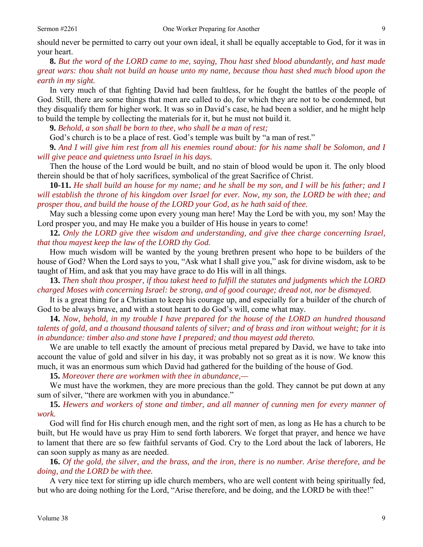should never be permitted to carry out your own ideal, it shall be equally acceptable to God, for it was in your heart.

**8.** *But the word of the LORD came to me, saying, Thou hast shed blood abundantly, and hast made great wars: thou shalt not build an house unto my name, because thou hast shed much blood upon the earth in my sight.*

In very much of that fighting David had been faultless, for he fought the battles of the people of God. Still, there are some things that men are called to do, for which they are not to be condemned, but they disqualify them for higher work. It was so in David's case, he had been a soldier, and he might help to build the temple by collecting the materials for it, but he must not build it.

**9.** *Behold, a son shall be born to thee, who shall be a man of rest;*

God's church is to be a place of rest. God's temple was built by "a man of rest."

**9.** *And I will give him rest from all his enemies round about: for his name shall be Solomon, and I will give peace and quietness unto Israel in his days.*

Then the house of the Lord would be built, and no stain of blood would be upon it. The only blood therein should be that of holy sacrifices, symbolical of the great Sacrifice of Christ.

**10-11.** *He shall build an house for my name; and he shall be my son, and I will be his father; and I will establish the throne of his kingdom over Israel for ever. Now, my son, the LORD be with thee; and prosper thou, and build the house of the LORD your God, as he hath said of thee.*

May such a blessing come upon every young man here! May the Lord be with you, my son! May the Lord prosper you, and may He make you a builder of His house in years to come!

**12.** *Only the LORD give thee wisdom and understanding, and give thee charge concerning Israel, that thou mayest keep the law of the LORD thy God.*

How much wisdom will be wanted by the young brethren present who hope to be builders of the house of God? When the Lord says to you, "Ask what I shall give you," ask for divine wisdom, ask to be taught of Him, and ask that you may have grace to do His will in all things.

**13.** *Then shalt thou prosper, if thou takest heed to fulfill the statutes and judgments which the LORD charged Moses with concerning Israel: be strong, and of good courage; dread not, nor be dismayed.*

It is a great thing for a Christian to keep his courage up, and especially for a builder of the church of God to be always brave, and with a stout heart to do God's will, come what may.

**14.** *Now, behold, in my trouble I have prepared for the house of the LORD an hundred thousand talents of gold, and a thousand thousand talents of silver; and of brass and iron without weight; for it is in abundance: timber also and stone have I prepared; and thou mayest add thereto.*

We are unable to tell exactly the amount of precious metal prepared by David, we have to take into account the value of gold and silver in his day, it was probably not so great as it is now. We know this much, it was an enormous sum which David had gathered for the building of the house of God.

**15.** *Moreover there are workmen with thee in abundance,—*

We must have the workmen, they are more precious than the gold. They cannot be put down at any sum of silver, "there are workmen with you in abundance."

**15.** *Hewers and workers of stone and timber, and all manner of cunning men for every manner of work.* 

God will find for His church enough men, and the right sort of men, as long as He has a church to be built, but He would have us pray Him to send forth laborers. We forget that prayer, and hence we have to lament that there are so few faithful servants of God. Cry to the Lord about the lack of laborers, He can soon supply as many as are needed.

**16.** *Of the gold, the silver, and the brass, and the iron, there is no number. Arise therefore, and be doing, and the LORD be with thee.*

A very nice text for stirring up idle church members, who are well content with being spiritually fed, but who are doing nothing for the Lord, "Arise therefore, and be doing, and the LORD be with thee!"